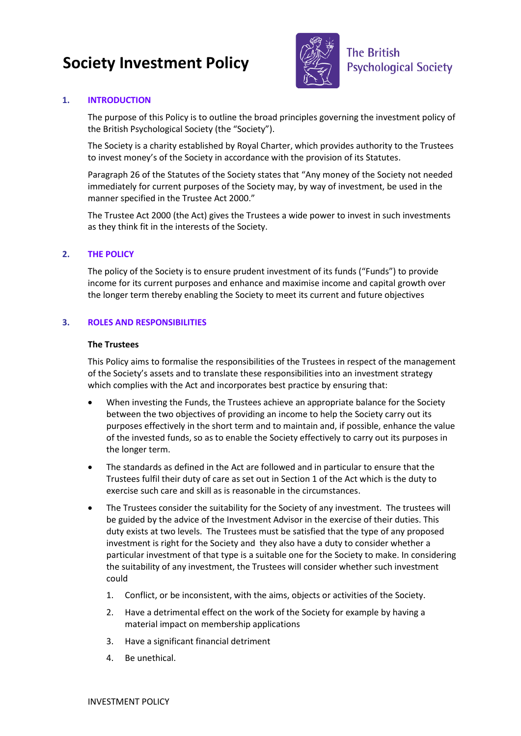# **Society Investment Policy**



# **1. INTRODUCTION**

The purpose of this Policy is to outline the broad principles governing the investment policy of the British Psychological Society (the "Society").

The Society is a charity established by Royal Charter, which provides authority to the Trustees to invest money's of the Society in accordance with the provision of its Statutes.

Paragraph 26 of the Statutes of the Society states that "Any money of the Society not needed immediately for current purposes of the Society may, by way of investment, be used in the manner specified in the Trustee Act 2000."

The Trustee Act 2000 (the Act) gives the Trustees a wide power to invest in such investments as they think fit in the interests of the Society.

## **2. THE POLICY**

The policy of the Society is to ensure prudent investment of its funds ("Funds") to provide income for its current purposes and enhance and maximise income and capital growth over the longer term thereby enabling the Society to meet its current and future objectives

#### **3. ROLES AND RESPONSIBILITIES**

#### **The Trustees**

This Policy aims to formalise the responsibilities of the Trustees in respect of the management of the Society's assets and to translate these responsibilities into an investment strategy which complies with the Act and incorporates best practice by ensuring that:

- When investing the Funds, the Trustees achieve an appropriate balance for the Society between the two objectives of providing an income to help the Society carry out its purposes effectively in the short term and to maintain and, if possible, enhance the value of the invested funds, so as to enable the Society effectively to carry out its purposes in the longer term.
- The standards as defined in the Act are followed and in particular to ensure that the Trustees fulfil their duty of care as set out in Section 1 of the Act which is the duty to exercise such care and skill as is reasonable in the circumstances.
- The Trustees consider the suitability for the Society of any investment. The trustees will be guided by the advice of the Investment Advisor in the exercise of their duties. This duty exists at two levels. The Trustees must be satisfied that the type of any proposed investment is right for the Society and they also have a duty to consider whether a particular investment of that type is a suitable one for the Society to make. In considering the suitability of any investment, the Trustees will consider whether such investment could
	- 1. Conflict, or be inconsistent, with the aims, objects or activities of the Society.
	- 2. Have a detrimental effect on the work of the Society for example by having a material impact on membership applications
	- 3. Have a significant financial detriment
	- 4. Be unethical.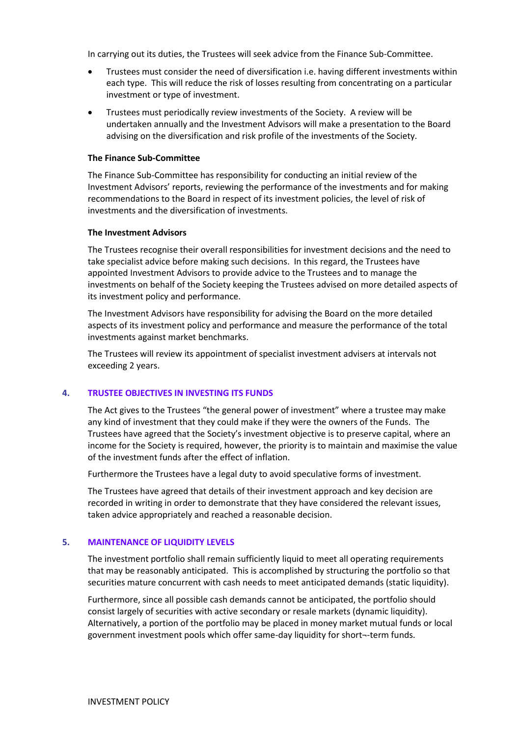In carrying out its duties, the Trustees will seek advice from the Finance Sub-Committee.

- Trustees must consider the need of diversification i.e. having different investments within each type. This will reduce the risk of losses resulting from concentrating on a particular investment or type of investment.
- Trustees must periodically review investments of the Society. A review will be undertaken annually and the Investment Advisors will make a presentation to the Board advising on the diversification and risk profile of the investments of the Society.

### **The Finance Sub-Committee**

The Finance Sub-Committee has responsibility for conducting an initial review of the Investment Advisors' reports, reviewing the performance of the investments and for making recommendations to the Board in respect of its investment policies, the level of risk of investments and the diversification of investments.

#### **The Investment Advisors**

The Trustees recognise their overall responsibilities for investment decisions and the need to take specialist advice before making such decisions. In this regard, the Trustees have appointed Investment Advisors to provide advice to the Trustees and to manage the investments on behalf of the Society keeping the Trustees advised on more detailed aspects of its investment policy and performance.

The Investment Advisors have responsibility for advising the Board on the more detailed aspects of its investment policy and performance and measure the performance of the total investments against market benchmarks.

The Trustees will review its appointment of specialist investment advisers at intervals not exceeding 2 years.

## **4. TRUSTEE OBJECTIVES IN INVESTING ITS FUNDS**

The Act gives to the Trustees "the general power of investment" where a trustee may make any kind of investment that they could make if they were the owners of the Funds. The Trustees have agreed that the Society's investment objective is to preserve capital, where an income for the Society is required, however, the priority is to maintain and maximise the value of the investment funds after the effect of inflation.

Furthermore the Trustees have a legal duty to avoid speculative forms of investment.

The Trustees have agreed that details of their investment approach and key decision are recorded in writing in order to demonstrate that they have considered the relevant issues, taken advice appropriately and reached a reasonable decision.

## **5. MAINTENANCE OF LIQUIDITY LEVELS**

The investment portfolio shall remain sufficiently liquid to meet all operating requirements that may be reasonably anticipated. This is accomplished by structuring the portfolio so that securities mature concurrent with cash needs to meet anticipated demands (static liquidity).

Furthermore, since all possible cash demands cannot be anticipated, the portfolio should consist largely of securities with active secondary or resale markets (dynamic liquidity). Alternatively, a portion of the portfolio may be placed in money market mutual funds or local government investment pools which offer same-day liquidity for short¬-term funds.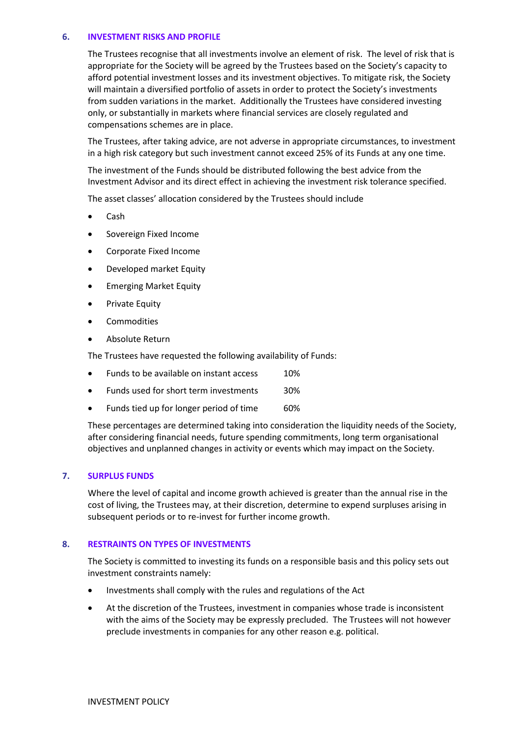### **6. INVESTMENT RISKS AND PROFILE**

The Trustees recognise that all investments involve an element of risk. The level of risk that is appropriate for the Society will be agreed by the Trustees based on the Society's capacity to afford potential investment losses and its investment objectives. To mitigate risk, the Society will maintain a diversified portfolio of assets in order to protect the Society's investments from sudden variations in the market. Additionally the Trustees have considered investing only, or substantially in markets where financial services are closely regulated and compensations schemes are in place.

The Trustees, after taking advice, are not adverse in appropriate circumstances, to investment in a high risk category but such investment cannot exceed 25% of its Funds at any one time.

The investment of the Funds should be distributed following the best advice from the Investment Advisor and its direct effect in achieving the investment risk tolerance specified.

The asset classes' allocation considered by the Trustees should include

- Cash
- Sovereign Fixed Income
- Corporate Fixed Income
- Developed market Equity
- Emerging Market Equity
- Private Equity
- Commodities
- Absolute Return

The Trustees have requested the following availability of Funds:

- Funds to be available on instant access 10%
- Funds used for short term investments 30%
- Funds tied up for longer period of time 60%

These percentages are determined taking into consideration the liquidity needs of the Society, after considering financial needs, future spending commitments, long term organisational objectives and unplanned changes in activity or events which may impact on the Society.

#### **7. SURPLUS FUNDS**

Where the level of capital and income growth achieved is greater than the annual rise in the cost of living, the Trustees may, at their discretion, determine to expend surpluses arising in subsequent periods or to re-invest for further income growth.

#### **8. RESTRAINTS ON TYPES OF INVESTMENTS**

The Society is committed to investing its funds on a responsible basis and this policy sets out investment constraints namely:

- Investments shall comply with the rules and regulations of the Act
- At the discretion of the Trustees, investment in companies whose trade is inconsistent with the aims of the Society may be expressly precluded. The Trustees will not however preclude investments in companies for any other reason e.g. political.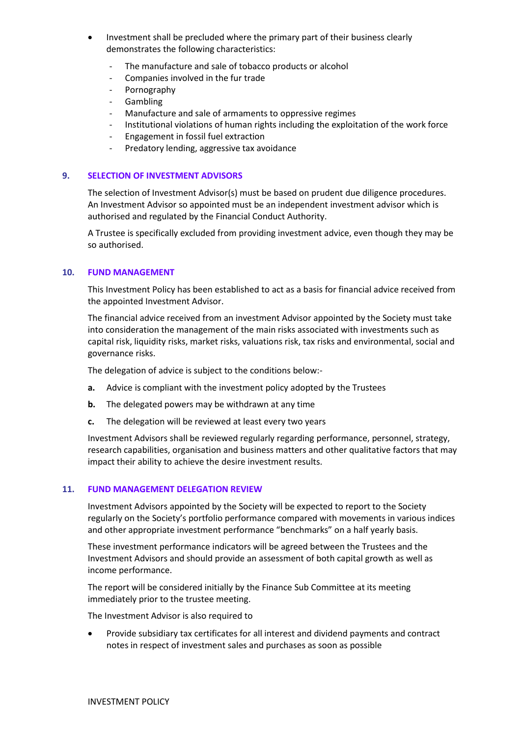- Investment shall be precluded where the primary part of their business clearly demonstrates the following characteristics:
	- The manufacture and sale of tobacco products or alcohol
	- Companies involved in the fur trade
	- Pornography
	- Gambling
	- Manufacture and sale of armaments to oppressive regimes
	- Institutional violations of human rights including the exploitation of the work force
	- Engagement in fossil fuel extraction
	- Predatory lending, aggressive tax avoidance

# **9. SELECTION OF INVESTMENT ADVISORS**

The selection of Investment Advisor(s) must be based on prudent due diligence procedures. An Investment Advisor so appointed must be an independent investment advisor which is authorised and regulated by the Financial Conduct Authority.

A Trustee is specifically excluded from providing investment advice, even though they may be so authorised.

## **10. FUND MANAGEMENT**

This Investment Policy has been established to act as a basis for financial advice received from the appointed Investment Advisor.

The financial advice received from an investment Advisor appointed by the Society must take into consideration the management of the main risks associated with investments such as capital risk, liquidity risks, market risks, valuations risk, tax risks and environmental, social and governance risks.

The delegation of advice is subject to the conditions below:-

- **a.** Advice is compliant with the investment policy adopted by the Trustees
- **b.** The delegated powers may be withdrawn at any time
- **c.** The delegation will be reviewed at least every two years

Investment Advisors shall be reviewed regularly regarding performance, personnel, strategy, research capabilities, organisation and business matters and other qualitative factors that may impact their ability to achieve the desire investment results.

#### **11. FUND MANAGEMENT DELEGATION REVIEW**

Investment Advisors appointed by the Society will be expected to report to the Society regularly on the Society's portfolio performance compared with movements in various indices and other appropriate investment performance "benchmarks" on a half yearly basis.

These investment performance indicators will be agreed between the Trustees and the Investment Advisors and should provide an assessment of both capital growth as well as income performance.

The report will be considered initially by the Finance Sub Committee at its meeting immediately prior to the trustee meeting.

The Investment Advisor is also required to

 Provide subsidiary tax certificates for all interest and dividend payments and contract notes in respect of investment sales and purchases as soon as possible